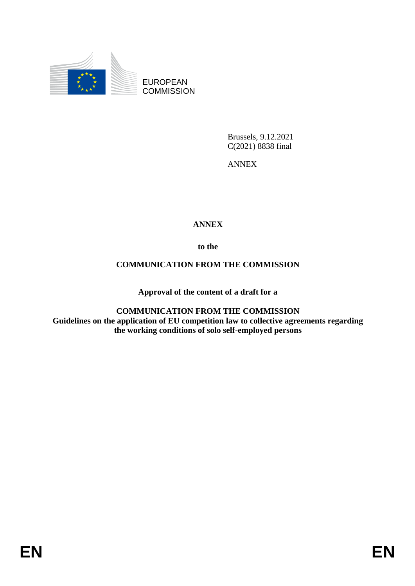

EUROPEAN **COMMISSION** 

> Brussels, 9.12.2021 C(2021) 8838 final

ANNEX

## **ANNEX**

**to the**

## **COMMUNICATION FROM THE COMMISSION**

**Approval of the content of a draft for a** 

**COMMUNICATION FROM THE COMMISSION Guidelines on the application of EU competition law to collective agreements regarding the working conditions of solo self-employed persons**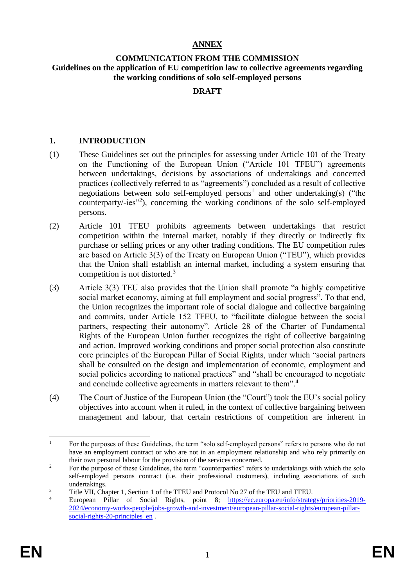#### **ANNEX**

#### **COMMUNICATION FROM THE COMMISSION Guidelines on the application of EU competition law to collective agreements regarding the working conditions of solo self-employed persons**

#### **DRAFT**

#### **1. INTRODUCTION**

- (1) These Guidelines set out the principles for assessing under Article 101 of the Treaty on the Functioning of the European Union ("Article 101 TFEU") agreements between undertakings, decisions by associations of undertakings and concerted practices (collectively referred to as "agreements") concluded as a result of collective negotiations between solo self-employed persons<sup>1</sup> and other undertaking(s) ("the counterparty/-ies"<sup>2</sup> ), concerning the working conditions of the solo self-employed persons.
- (2) Article 101 TFEU prohibits agreements between undertakings that restrict competition within the internal market, notably if they directly or indirectly fix purchase or selling prices or any other trading conditions. The EU competition rules are based on Article 3(3) of the Treaty on European Union ("TEU"), which provides that the Union shall establish an internal market, including a system ensuring that competition is not distorted.<sup>3</sup>
- (3) Article 3(3) TEU also provides that the Union shall promote "a highly competitive social market economy, aiming at full employment and social progress". To that end, the Union recognizes the important role of social dialogue and collective bargaining and commits, under Article 152 TFEU, to "facilitate dialogue between the social partners, respecting their autonomy". Article 28 of the Charter of Fundamental Rights of the European Union further recognizes the right of collective bargaining and action. Improved working conditions and proper social protection also constitute core principles of the European Pillar of Social Rights, under which "social partners shall be consulted on the design and implementation of economic, employment and social policies according to national practices" and "shall be encouraged to negotiate and conclude collective agreements in matters relevant to them".<sup>4</sup>
- (4) The Court of Justice of the European Union (the "Court") took the EU's social policy objectives into account when it ruled, in the context of collective bargaining between management and labour, that certain restrictions of competition are inherent in

 $\mathbf{1}$ <sup>1</sup> For the purposes of these Guidelines, the term "solo self-employed persons" refers to persons who do not have an employment contract or who are not in an employment relationship and who rely primarily on their own personal labour for the provision of the services concerned.

<sup>&</sup>lt;sup>2</sup> For the purpose of these Guidelines, the term "counterparties" refers to undertakings with which the solo self-employed persons contract (i.e. their professional customers), including associations of such undertakings.

<sup>&</sup>lt;sup>3</sup> Title VII, Chapter 1, Section 1 of the TFEU and Protocol No 27 of the TEU and TFEU.

European Pillar of Social Rights, point 8; [https://ec.europa.eu/info/strategy/priorities-2019-](https://ec.europa.eu/info/strategy/priorities-2019-2024/economy-works-people/jobs-growth-and-investment/european-pillar-social-rights/european-pillar-social-rights-20-principles_en) [2024/economy-works-people/jobs-growth-and-investment/european-pillar-social-rights/european-pillar](https://ec.europa.eu/info/strategy/priorities-2019-2024/economy-works-people/jobs-growth-and-investment/european-pillar-social-rights/european-pillar-social-rights-20-principles_en)social-rights-20-principles en .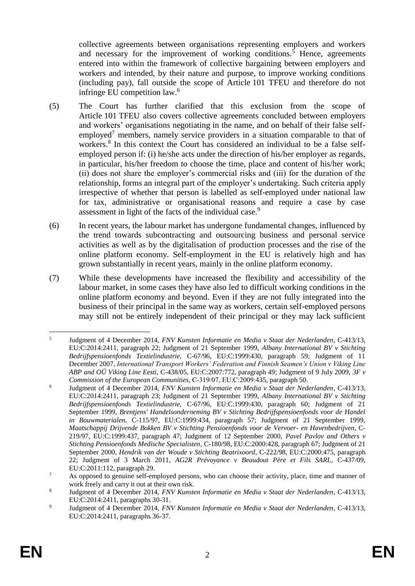collective agreements between organisations representing employers and workers and necessary for the improvement of working conditions.<sup>5</sup> Hence, agreements entered into within the framework of collective bargaining between employers and workers and intended, by their nature and purpose, to improve working conditions (including pay), fall outside the scope of Article 101 TFEU and therefore do not infringe EU competition law.<sup>6</sup>

- (5) The Court has further clarified that this exclusion from the scope of Article 101 TFEU also covers collective agreements concluded between employers and workers' organisations negotiating in the name, and on behalf of their false selfemployed<sup>7</sup> members, namely service providers in a situation comparable to that of workers.<sup>8</sup> In this context the Court has considered an individual to be a false selfemployed person if: (i) he/she acts under the direction of his/her employer as regards, in particular, his/her freedom to choose the time, place and content of his/her work; (ii) does not share the employer's commercial risks and (iii) for the duration of the relationship, forms an integral part of the employer's undertaking. Such criteria apply irrespective of whether that person is labelled as self-employed under national law for tax, administrative or organisational reasons and require a case by case assessment in light of the facts of the individual case.<sup>9</sup>
- (6) In recent years, the labour market has undergone fundamental changes, influenced by the trend towards subcontracting and outsourcing business and personal service activities as well as by the digitalisation of production processes and the rise of the online platform economy. Self-employment in the EU is relatively high and has grown substantially in recent years, mainly in the online platform economy.
- (7) While these developments have increased the flexibility and accessibility of the labour market, in some cases they have also led to difficult working conditions in the online platform economy and beyond. Even if they are not fully integrated into the business of their principal in the same way as workers, certain self-employed persons may still not be entirely independent of their principal or they may lack sufficient

 $\frac{1}{5}$ Judgment of 4 December 2014, *FNV Kunsten Informatie en Media v Staat der Nederlanden*, C-413/13, EU:C:2014:2411, paragraph 22; Judgment of 21 September 1999, *Albany International BV v Stichting Bedrijfspensioenfonds Textielindustrie,* C-67/96, EU:C:1999:430, paragraph 59; Judgment of 11 December 2007, *International Transport Workers' Federation and Finnish Seamen's Union v Viking Line ABP and OÜ Viking Line Eesti,* C-438/05, EU:C:2007:772, paragraph 49; Judgment of 9 July 2009, *3F v Commission of the European Communities*, C‑319/07, EU:C:2009:435, paragraph 50.

<sup>6</sup> Judgment of 4 December 2014, *FNV Kunsten Informatie en Media v Staat der Nederlanden*, C-413/13, EU:C:2014:2411, paragraph 23; Judgment of 21 September 1999, *Albany International BV v Stichting Bedrijfspensioenfonds Textielindustrie,* C-67/96, EU:C:1999:430, paragraph 60; Judgment of 21 September 1999, *Brentjens' Handelsonderneming BV v Stichting Bedrijfspensioenfonds voor de Handel in Bouwmaterialen*, C-115/97, EU:C:1999:434, paragraph 57; Judgment of 21 September 1999, *Maatschappij Drijvende Bokken BV v Stichting Pensioenfonds voor de Vervoer- en Havenbedrijven*, C-219/97, EU:C:1999:437, paragraph 47; Judgment of 12 September 2000, *Pavel Pavlov and Others v Stichting Pensioenfonds Medische Specialisten*, C-180/98, EU:C:2000:428, paragraph 67; Judgment of 21 September 2000, *Hendrik van der Woude v Stichting Beatrixoord*, C-222/98, EU:C:2000:475, paragraph 22; Judgment of 3 March 2011, *AG2R Prévoyance v Beaudout Père et Fils SARL*, C-437/09, EU:C:2011:112, paragraph 29.

<sup>&</sup>lt;sup>7</sup> As opposed to genuine self-employed persons, who can choose their activity, place, time and manner of work freely and carry it out at their own risk.

<sup>8</sup> Judgment of 4 December 2014, *FNV Kunsten Informatie en Media v Staat der Nederlanden*, C-413/13, EU:C:2014:2411, paragraphs 30-31.

 $\overline{9}$ Judgment of 4 December 2014, *FNV Kunsten Informatie en Media v Staat der Nederlanden*, C-413/13, EU:C:2014:2411, paragraphs 36-37.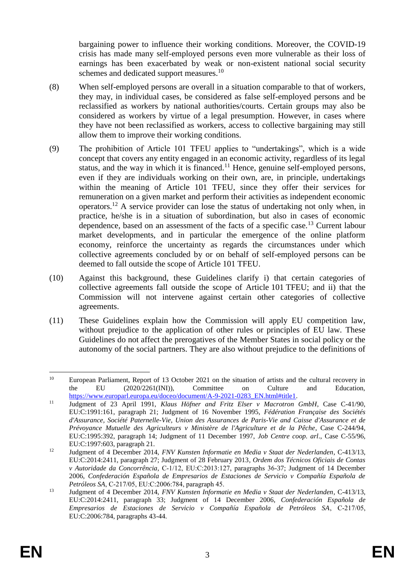bargaining power to influence their working conditions. Moreover, the COVID-19 crisis has made many self-employed persons even more vulnerable as their loss of earnings has been exacerbated by weak or non-existent national social security schemes and dedicated support measures.<sup>10</sup>

- (8) When self-employed persons are overall in a situation comparable to that of workers, they may, in individual cases, be considered as false self-employed persons and be reclassified as workers by national authorities/courts. Certain groups may also be considered as workers by virtue of a legal presumption. However, in cases where they have not been reclassified as workers, access to collective bargaining may still allow them to improve their working conditions.
- (9) The prohibition of Article 101 TFEU applies to "undertakings", which is a wide concept that covers any entity engaged in an economic activity, regardless of its legal status, and the way in which it is financed.<sup>11</sup> Hence, genuine self-employed persons, even if they are individuals working on their own, are, in principle, undertakings within the meaning of Article 101 TFEU, since they offer their services for remuneration on a given market and perform their activities as independent economic operators.<sup>12</sup> A service provider can lose the status of undertaking not only when, in practice, he/she is in a situation of subordination, but also in cases of economic dependence, based on an assessment of the facts of a specific case.<sup>13</sup> Current labour market developments, and in particular the emergence of the online platform economy, reinforce the uncertainty as regards the circumstances under which collective agreements concluded by or on behalf of self-employed persons can be deemed to fall outside the scope of Article 101 TFEU.
- (10) Against this background, these Guidelines clarify i) that certain categories of collective agreements fall outside the scope of Article 101 TFEU; and ii) that the Commission will not intervene against certain other categories of collective agreements.
- (11) These Guidelines explain how the Commission will apply EU competition law, without prejudice to the application of other rules or principles of EU law. These Guidelines do not affect the prerogatives of the Member States in social policy or the autonomy of the social partners. They are also without prejudice to the definitions of

 $10<sup>10</sup>$ <sup>10</sup> European Parliament, Report of 13 October 2021 on the situation of artists and the cultural recovery in the EU (2020/2261(INI)), Committee on Culture and Education, [https://www.europarl.europa.eu/doceo/document/A-9-2021-0283\\_EN.html#title1.](https://www.europarl.europa.eu/doceo/document/A-9-2021-0283_EN.html#title1)

<sup>11</sup> Judgment of 23 April 1991, *Klaus Höfner and Fritz Elser v Macrotron GmbH*, Case C-41/90, EU:C:1991:161, paragraph 21; Judgment of 16 November 1995, *Fédération Française des Sociétés d'Assurance, Société Paternelle-Vie, Union des Assurances de Paris-Vie and Caisse d'Assurance et de Prévoyance Mutuelle des Agriculteurs v Ministère de l'Agriculture et de la Pêche*, Case C-244/94, EU:C:1995:392, paragraph 14; Judgment of 11 December 1997, *Job Centre coop. arl*., Case C-55/96, EU:C:1997:603, paragraph 21.

<sup>12</sup> Judgment of 4 December 2014, *FNV Kunsten Informatie en Media v Staat der Nederlanden*, C-413/13, EU:C:2014:2411, paragraph 27; Judgment of 28 February 2013*, Ordem dos Técnicos Oficiais de Contas v Autoridade da Concorrência*, C‑1/12, EU:C:2013:127, paragraphs 36-37; Judgment of 14 December 2006, *Confederación Española de Empresarios de Estaciones de Servicio v Compañía Española de Petróleos SA*, C‑217/05, EU:C:2006:784, paragraph 45.

<sup>13</sup> Judgment of 4 December 2014, *FNV Kunsten Informatie en Media v Staat der Nederlanden*, C-413/13, EU:C:2014:2411, paragraph 33; Judgment of 14 December 2006, *Confederación Española de Empresarios de Estaciones de Servicio v Compañía Española de Petróleos SA*, C‑217/05, EU:C:2006:784, paragraphs 43-44.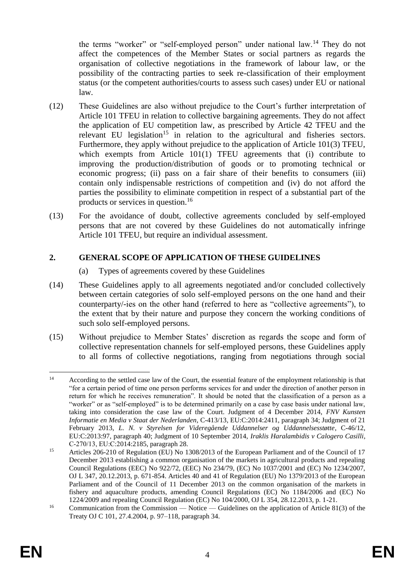the terms "worker" or "self-employed person" under national law.<sup>14</sup> They do not affect the competences of the Member States or social partners as regards the organisation of collective negotiations in the framework of labour law, or the possibility of the contracting parties to seek re-classification of their employment status (or the competent authorities/courts to assess such cases) under EU or national law.

- (12) These Guidelines are also without prejudice to the Court's further interpretation of Article 101 TFEU in relation to collective bargaining agreements. They do not affect the application of EU competition law, as prescribed by Article 42 TFEU and the relevant EU legislation<sup>15</sup> in relation to the agricultural and fisheries sectors. Furthermore, they apply without prejudice to the application of Article 101(3) TFEU, which exempts from Article 101(1) TFEU agreements that (i) contribute to improving the production/distribution of goods or to promoting technical or economic progress; (ii) pass on a fair share of their benefits to consumers (iii) contain only indispensable restrictions of competition and (iv) do not afford the parties the possibility to eliminate competition in respect of a substantial part of the products or services in question.<sup>16</sup>
- (13) For the avoidance of doubt, collective agreements concluded by self-employed persons that are not covered by these Guidelines do not automatically infringe Article 101 TFEU, but require an individual assessment.

### **2. GENERAL SCOPE OF APPLICATION OF THESE GUIDELINES**

- (a) Types of agreements covered by these Guidelines
- (14) These Guidelines apply to all agreements negotiated and/or concluded collectively between certain categories of solo self-employed persons on the one hand and their counterparty/-ies on the other hand (referred to here as "collective agreements"), to the extent that by their nature and purpose they concern the working conditions of such solo self-employed persons.
- (15) Without prejudice to Member States' discretion as regards the scope and form of collective representation channels for self-employed persons, these Guidelines apply to all forms of collective negotiations, ranging from negotiations through social

 $14$ <sup>14</sup> According to the settled case law of the Court, the essential feature of the employment relationship is that "for a certain period of time one person performs services for and under the direction of another person in return for which he receives remuneration". It should be noted that the classification of a person as a "worker" or as "self-employed" is to be determined primarily on a case by case basis under national law, taking into consideration the case law of the Court. Judgment of 4 December 2014, *FNV Kunsten Informatie en Media v Staat der Nederlanden*, C-413/13, EU:C:2014:2411, paragraph 34; Judgment of 21 February 2013, *L. N. v Styrelsen for Videregående Uddannelser og Uddannelsesstøtte*, C-46/12, EU:C:2013:97, paragraph 40; Judgment of 10 September 2014, *Iraklis Haralambidis v Calogero Casilli*, C‑270/13, EU:C:2014:2185, paragraph 28*.*

<sup>&</sup>lt;sup>15</sup> Articles 206-210 of Regulation (EU) No 1308/2013 of the European Parliament and of the Council of 17 December 2013 establishing a common organisation of the markets in agricultural products and repealing Council Regulations (EEC) No 922/72, (EEC) No 234/79, (EC) No 1037/2001 and (EC) No 1234/2007, OJ L 347, 20.12.2013, p. 671-854. Articles 40 and 41 of Regulation (EU) No 1379/2013 of the European Parliament and of the Council of 11 December 2013 on the common organisation of the markets in fishery and aquaculture products, amending Council Regulations (EC) No 1184/2006 and (EC) No 1224/2009 and repealing Council Regulation (EC) No 104/2000, OJ L 354, 28.12.2013, p. 1-21.

<sup>&</sup>lt;sup>16</sup> Communication from the Commission — Notice — Guidelines on the application of Article 81(3) of the Treaty OJ C 101, 27.4.2004, p. 97–118, paragraph 34.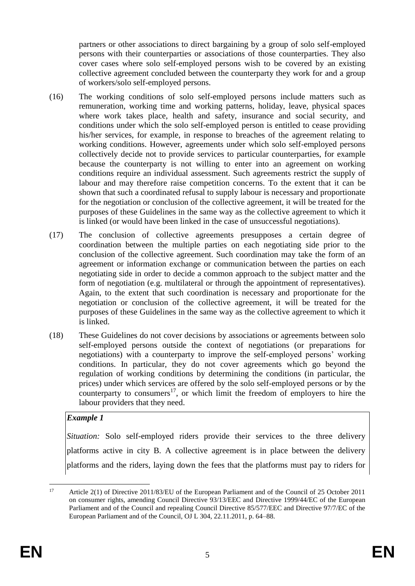partners or other associations to direct bargaining by a group of solo self-employed persons with their counterparties or associations of those counterparties. They also cover cases where solo self-employed persons wish to be covered by an existing collective agreement concluded between the counterparty they work for and a group of workers/solo self-employed persons.

- (16) The working conditions of solo self-employed persons include matters such as remuneration, working time and working patterns, holiday, leave, physical spaces where work takes place, health and safety, insurance and social security, and conditions under which the solo self-employed person is entitled to cease providing his/her services, for example, in response to breaches of the agreement relating to working conditions. However, agreements under which solo self-employed persons collectively decide not to provide services to particular counterparties, for example because the counterparty is not willing to enter into an agreement on working conditions require an individual assessment. Such agreements restrict the supply of labour and may therefore raise competition concerns. To the extent that it can be shown that such a coordinated refusal to supply labour is necessary and proportionate for the negotiation or conclusion of the collective agreement, it will be treated for the purposes of these Guidelines in the same way as the collective agreement to which it is linked (or would have been linked in the case of unsuccessful negotiations).
- (17) The conclusion of collective agreements presupposes a certain degree of coordination between the multiple parties on each negotiating side prior to the conclusion of the collective agreement. Such coordination may take the form of an agreement or information exchange or communication between the parties on each negotiating side in order to decide a common approach to the subject matter and the form of negotiation (e.g. multilateral or through the appointment of representatives). Again, to the extent that such coordination is necessary and proportionate for the negotiation or conclusion of the collective agreement, it will be treated for the purposes of these Guidelines in the same way as the collective agreement to which it is linked.
- (18) These Guidelines do not cover decisions by associations or agreements between solo self-employed persons outside the context of negotiations (or preparations for negotiations) with a counterparty to improve the self-employed persons' working conditions. In particular, they do not cover agreements which go beyond the regulation of working conditions by determining the conditions (in particular, the prices) under which services are offered by the solo self-employed persons or by the counterparty to consumers<sup>17</sup>, or which limit the freedom of employers to hire the labour providers that they need.

#### *Example 1*

*Situation:* Solo self-employed riders provide their services to the three delivery platforms active in city B. A collective agreement is in place between the delivery platforms and the riders, laying down the fees that the platforms must pay to riders for

 $17$ <sup>17</sup> Article 2(1) of Directive 2011/83/EU of the European Parliament and of the Council of 25 October 2011 on consumer rights, amending Council Directive 93/13/EEC and Directive 1999/44/EC of the European Parliament and of the Council and repealing Council Directive 85/577/EEC and Directive 97/7/EC of the European Parliament and of the Council, OJ L 304, 22.11.2011, p. 64–88.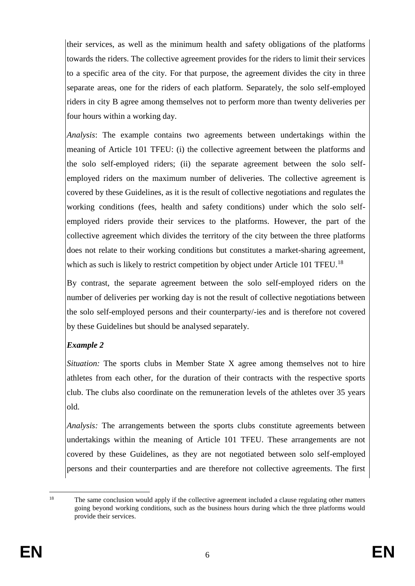their services, as well as the minimum health and safety obligations of the platforms towards the riders. The collective agreement provides for the riders to limit their services to a specific area of the city. For that purpose, the agreement divides the city in three separate areas, one for the riders of each platform. Separately, the solo self-employed riders in city B agree among themselves not to perform more than twenty deliveries per four hours within a working day.

*Analysis*: The example contains two agreements between undertakings within the meaning of Article 101 TFEU: (i) the collective agreement between the platforms and the solo self-employed riders; (ii) the separate agreement between the solo selfemployed riders on the maximum number of deliveries. The collective agreement is covered by these Guidelines, as it is the result of collective negotiations and regulates the working conditions (fees, health and safety conditions) under which the solo selfemployed riders provide their services to the platforms. However, the part of the collective agreement which divides the territory of the city between the three platforms does not relate to their working conditions but constitutes a market-sharing agreement, which as such is likely to restrict competition by object under Article 101 TFEU.<sup>18</sup>

By contrast, the separate agreement between the solo self-employed riders on the number of deliveries per working day is not the result of collective negotiations between the solo self-employed persons and their counterparty/-ies and is therefore not covered by these Guidelines but should be analysed separately.

## *Example 2*

*Situation:* The sports clubs in Member State X agree among themselves not to hire athletes from each other, for the duration of their contracts with the respective sports club. The clubs also coordinate on the remuneration levels of the athletes over 35 years old.

*Analysis:* The arrangements between the sports clubs constitute agreements between undertakings within the meaning of Article 101 TFEU. These arrangements are not covered by these Guidelines, as they are not negotiated between solo self-employed persons and their counterparties and are therefore not collective agreements. The first

 $\overline{18}$ The same conclusion would apply if the collective agreement included a clause regulating other matters going beyond working conditions, such as the business hours during which the three platforms would provide their services.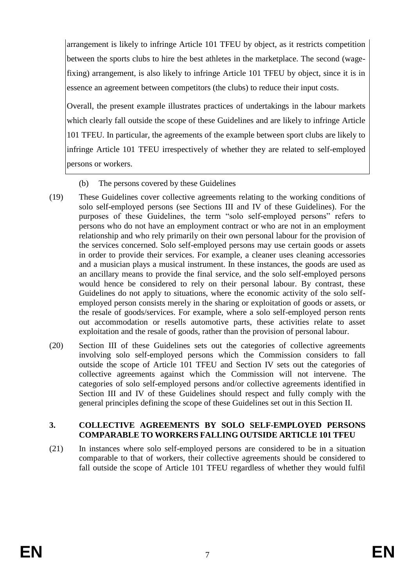arrangement is likely to infringe Article 101 TFEU by object, as it restricts competition between the sports clubs to hire the best athletes in the marketplace. The second (wagefixing) arrangement, is also likely to infringe Article 101 TFEU by object, since it is in essence an agreement between competitors (the clubs) to reduce their input costs.

Overall, the present example illustrates practices of undertakings in the labour markets which clearly fall outside the scope of these Guidelines and are likely to infringe Article 101 TFEU. In particular, the agreements of the example between sport clubs are likely to infringe Article 101 TFEU irrespectively of whether they are related to self-employed persons or workers.

- (b) The persons covered by these Guidelines
- (19) These Guidelines cover collective agreements relating to the working conditions of solo self-employed persons (see Sections III and IV of these Guidelines). For the purposes of these Guidelines, the term "solo self-employed persons" refers to persons who do not have an employment contract or who are not in an employment relationship and who rely primarily on their own personal labour for the provision of the services concerned. Solo self-employed persons may use certain goods or assets in order to provide their services. For example, a cleaner uses cleaning accessories and a musician plays a musical instrument. In these instances, the goods are used as an ancillary means to provide the final service, and the solo self-employed persons would hence be considered to rely on their personal labour. By contrast, these Guidelines do not apply to situations, where the economic activity of the solo selfemployed person consists merely in the sharing or exploitation of goods or assets, or the resale of goods/services. For example, where a solo self-employed person rents out accommodation or resells automotive parts, these activities relate to asset exploitation and the resale of goods, rather than the provision of personal labour.
- (20) Section III of these Guidelines sets out the categories of collective agreements involving solo self-employed persons which the Commission considers to fall outside the scope of Article 101 TFEU and Section IV sets out the categories of collective agreements against which the Commission will not intervene. The categories of solo self-employed persons and/or collective agreements identified in Section III and IV of these Guidelines should respect and fully comply with the general principles defining the scope of these Guidelines set out in this Section II.

### **3. COLLECTIVE AGREEMENTS BY SOLO SELF-EMPLOYED PERSONS COMPARABLE TO WORKERS FALLING OUTSIDE ARTICLE 101 TFEU**

(21) In instances where solo self-employed persons are considered to be in a situation comparable to that of workers, their collective agreements should be considered to fall outside the scope of Article 101 TFEU regardless of whether they would fulfil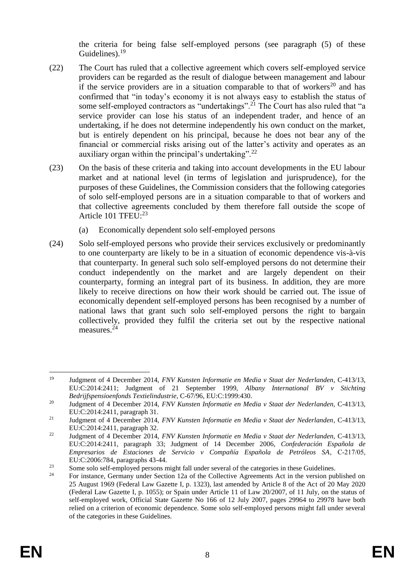the criteria for being false self-employed persons (see paragraph (5) of these Guidelines).<sup>19</sup>

- (22) The Court has ruled that a collective agreement which covers self-employed service providers can be regarded as the result of dialogue between management and labour if the service providers are in a situation comparable to that of workers<sup>20</sup> and has confirmed that "in today's economy it is not always easy to establish the status of some self-employed contractors as "undertakings".<sup>21</sup> The Court has also ruled that "a service provider can lose his status of an independent trader, and hence of an undertaking, if he does not determine independently his own conduct on the market, but is entirely dependent on his principal, because he does not bear any of the financial or commercial risks arising out of the latter's activity and operates as an auxiliary organ within the principal's undertaking".<sup>22</sup>
- (23) On the basis of these criteria and taking into account developments in the EU labour market and at national level (in terms of legislation and jurisprudence), for the purposes of these Guidelines, the Commission considers that the following categories of solo self-employed persons are in a situation comparable to that of workers and that collective agreements concluded by them therefore fall outside the scope of Article 101 TFEU:<sup>23</sup>
	- (a) Economically dependent solo self-employed persons
- (24) Solo self-employed persons who provide their services exclusively or predominantly to one counterparty are likely to be in a situation of economic dependence vis-à-vis that counterparty. In general such solo self-employed persons do not determine their conduct independently on the market and are largely dependent on their counterparty, forming an integral part of its business. In addition, they are more likely to receive directions on how their work should be carried out. The issue of economically dependent self-employed persons has been recognised by a number of national laws that grant such solo self-employed persons the right to bargain collectively, provided they fulfil the criteria set out by the respective national measures.<sup>24</sup>

<sup>1</sup> <sup>19</sup> Judgment of 4 December 2014, *FNV Kunsten Informatie en Media v Staat der Nederlanden*, C-413/13, EU:C:2014:2411; Judgment of 21 September 1999, *Albany International BV v Stichting Bedrijfspensioenfonds Textielindustrie*, C-67/96, EU:C:1999:430.

<sup>20</sup> Judgment of 4 December 2014, *FNV Kunsten Informatie en Media v Staat der Nederlanden*, C-413/13, EU:C:2014:2411, paragraph 31.

<sup>21</sup> Judgment of 4 December 2014, *FNV Kunsten Informatie en Media v Staat der Nederlanden*, C-413/13, EU:C:2014:2411, paragraph 32.

<sup>22</sup> Judgment of 4 December 2014, *FNV Kunsten Informatie en Media v Staat der Nederlanden*, C-413/13, EU:C:2014:2411, paragraph 33; Judgment of 14 December 2006, *Confederación Española de Empresarios de Estaciones de Servicio v Compañía Española de Petróleos SA*, C‑217/05, EU:C:2006:784, paragraphs 43-44.

<sup>&</sup>lt;sup>23</sup> Some solo self-employed persons might fall under several of the categories in these Guidelines.

<sup>24</sup> For instance, Germany under Section 12a of the Collective Agreements Act in the version published on 25 August 1969 (Federal Law Gazette I, p. 1323), last amended by Article 8 of the Act of 20 May 2020 (Federal Law Gazette I, p. 1055); or Spain under Article 11 of Law 20/2007, of 11 July, on the status of self-employed work, Official State Gazette No 166 of 12 July 2007, pages 29964 to 29978 have both relied on a criterion of economic dependence. Some solo self-employed persons might fall under several of the categories in these Guidelines.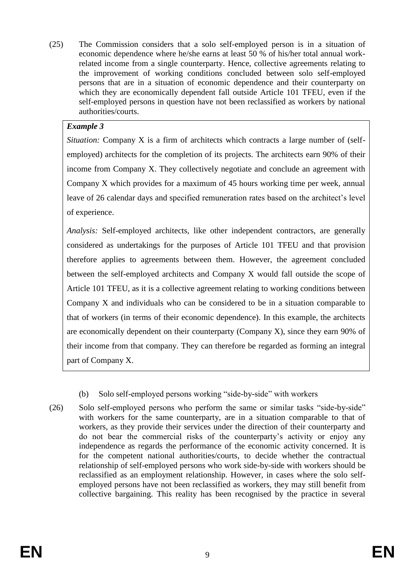(25) The Commission considers that a solo self-employed person is in a situation of economic dependence where he/she earns at least 50 % of his/her total annual workrelated income from a single counterparty. Hence, collective agreements relating to the improvement of working conditions concluded between solo self-employed persons that are in a situation of economic dependence and their counterparty on which they are economically dependent fall outside Article 101 TFEU, even if the self-employed persons in question have not been reclassified as workers by national authorities/courts.

## *Example 3*

*Situation:* Company X is a firm of architects which contracts a large number of (selfemployed) architects for the completion of its projects. The architects earn 90% of their income from Company X. They collectively negotiate and conclude an agreement with Company X which provides for a maximum of 45 hours working time per week, annual leave of 26 calendar days and specified remuneration rates based on the architect's level of experience.

*Analysis:* Self-employed architects, like other independent contractors, are generally considered as undertakings for the purposes of Article 101 TFEU and that provision therefore applies to agreements between them. However, the agreement concluded between the self-employed architects and Company X would fall outside the scope of Article 101 TFEU, as it is a collective agreement relating to working conditions between Company X and individuals who can be considered to be in a situation comparable to that of workers (in terms of their economic dependence). In this example, the architects are economically dependent on their counterparty (Company X), since they earn 90% of their income from that company. They can therefore be regarded as forming an integral part of Company X.

- (b) Solo self-employed persons working "side-by-side" with workers
- (26) Solo self-employed persons who perform the same or similar tasks "side-by-side" with workers for the same counterparty, are in a situation comparable to that of workers, as they provide their services under the direction of their counterparty and do not bear the commercial risks of the counterparty's activity or enjoy any independence as regards the performance of the economic activity concerned. It is for the competent national authorities/courts, to decide whether the contractual relationship of self-employed persons who work side-by-side with workers should be reclassified as an employment relationship. However, in cases where the solo selfemployed persons have not been reclassified as workers, they may still benefit from collective bargaining. This reality has been recognised by the practice in several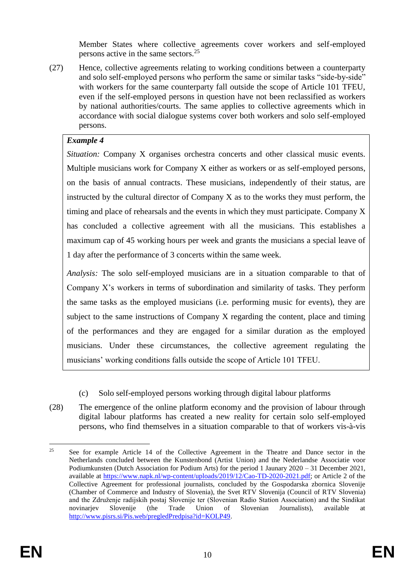Member States where collective agreements cover workers and self-employed persons active in the same sectors.<sup>25</sup>

(27) Hence, collective agreements relating to working conditions between a counterparty and solo self-employed persons who perform the same or similar tasks "side-by-side" with workers for the same counterparty fall outside the scope of Article 101 TFEU, even if the self-employed persons in question have not been reclassified as workers by national authorities/courts. The same applies to collective agreements which in accordance with social dialogue systems cover both workers and solo self-employed persons.

### *Example 4*

*Situation:* Company X organises orchestra concerts and other classical music events. Multiple musicians work for Company X either as workers or as self-employed persons, on the basis of annual contracts. These musicians, independently of their status, are instructed by the cultural director of Company X as to the works they must perform, the timing and place of rehearsals and the events in which they must participate. Company X has concluded a collective agreement with all the musicians. This establishes a maximum cap of 45 working hours per week and grants the musicians a special leave of 1 day after the performance of 3 concerts within the same week.

*Analysis:* The solo self-employed musicians are in a situation comparable to that of Company X's workers in terms of subordination and similarity of tasks. They perform the same tasks as the employed musicians (i.e. performing music for events), they are subject to the same instructions of Company X regarding the content, place and timing of the performances and they are engaged for a similar duration as the employed musicians. Under these circumstances, the collective agreement regulating the musicians' working conditions falls outside the scope of Article 101 TFEU.

- (c) Solo self-employed persons working through digital labour platforms
- (28) The emergence of the online platform economy and the provision of labour through digital labour platforms has created a new reality for certain solo self-employed persons, who find themselves in a situation comparable to that of workers vis-à-vis

<sup>1</sup> <sup>25</sup> See for example Article 14 of the Collective Agreement in the Theatre and Dance sector in the Netherlands concluded between the Kunstenbond (Artist Union) and the Nederlandse Associatie voor Podiumkunsten (Dutch Association for Podium Arts) for the period 1 Jaunary 2020 – 31 December 2021, available at [https://www.napk.nl/wp-content/uploads/2019/12/Cao-TD-2020-2021.pdf;](https://www.napk.nl/wp-content/uploads/2019/12/Cao-TD-2020-2021.pdf) or Article 2 of the Collective Agreement for professional journalists, concluded by the Gospodarska zbornica Slovenije (Chamber of Commerce and Industry of Slovenia), the Svet RTV Slovenija (Council of RTV Slovenia) and the Združenje radijskih postaj Slovenije ter (Slovenian Radio Station Association) and the Sindikat novinariev Slovenije (the Trade Union of Slovenian Journalists), available [http://www.pisrs.si/Pis.web/pregledPredpisa?id=KOLP49.](http://www.pisrs.si/Pis.web/pregledPredpisa?id=KOLP49)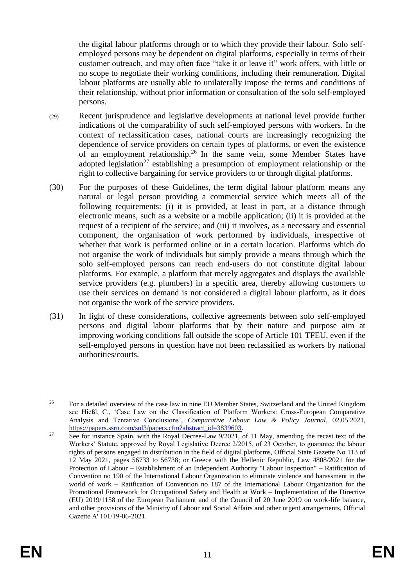the digital labour platforms through or to which they provide their labour. Solo selfemployed persons may be dependent on digital platforms, especially in terms of their customer outreach, and may often face "take it or leave it" work offers, with little or no scope to negotiate their working conditions, including their remuneration. Digital labour platforms are usually able to unilaterally impose the terms and conditions of their relationship, without prior information or consultation of the solo self-employed persons.

- (29) Recent jurisprudence and legislative developments at national level provide further indications of the comparability of such self-employed persons with workers. In the context of reclassification cases, national courts are increasingly recognizing the dependence of service providers on certain types of platforms, or even the existence of an employment relationship.<sup>26</sup> In the same vein, some Member States have adopted legislation<sup>27</sup> establishing a presumption of employment relationship or the right to collective bargaining for service providers to or through digital platforms.
- (30) For the purposes of these Guidelines, the term digital labour platform means any natural or legal person providing a commercial service which meets all of the following requirements: (i) it is provided, at least in part, at a distance through electronic means, such as a website or a mobile application; (ii) it is provided at the request of a recipient of the service; and (iii) it involves, as a necessary and essential component, the organisation of work performed by individuals, irrespective of whether that work is performed online or in a certain location. Platforms which do not organise the work of individuals but simply provide a means through which the solo self-employed persons can reach end-users do not constitute digital labour platforms. For example, a platform that merely aggregates and displays the available service providers (e.g. plumbers) in a specific area, thereby allowing customers to use their services on demand is not considered a digital labour platform, as it does not organise the work of the service providers.
- (31) In light of these considerations, collective agreements between solo self-employed persons and digital labour platforms that by their nature and purpose aim at improving working conditions fall outside the scope of Article 101 TFEU, even if the self-employed persons in question have not been reclassified as workers by national authorities/courts.

<sup>26</sup> <sup>26</sup> For a detailed overview of the case law in nine EU Member States, Switzerland and the United Kingdom see Hießl, C., 'Case Law on the Classification of Platform Workers: Cross-European Comparative Analysis and Tentative Conclusions', *Comparative Labour Law & Policy Journal*, 02.05.2021, [https://papers.ssrn.com/sol3/papers.cfm?abstract\\_id=3839603.](https://papers.ssrn.com/sol3/papers.cfm?abstract_id=3839603)

 $27$  See for instance Spain, with the Royal Decree-Law  $9/2021$ , of 11 May, amending the recast text of the Workers' Statute, approved by Royal Legislative Decree 2/2015, of 23 October, to guarantee the labour rights of persons engaged in distribution in the field of digital platforms, Official State Gazette No 113 of 12 May 2021, pages 56733 to 56738; or Greece with the Hellenic Republic, Law 4808/2021 for the Protection of Labour – Establishment of an Independent Authority "Labour Inspection" – Ratification of Convention no 190 of the International Labour Organization to eliminate violence and harassment in the world of work – Ratification of Convention no 187 of the International Labour Organization for the Promotional Framework for Occupational Safety and Health at Work – Implementation of the Directive (EU) 2019/1158 of the European Parliament and of the Council of 20 June 2019 on work-life balance, and other provisions of the Ministry of Labour and Social Affairs and other urgent arrangements, Official Gazette Α' 101/19-06-2021.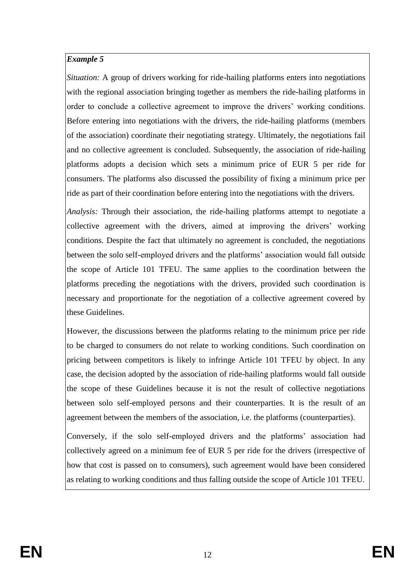*Situation:* A group of drivers working for ride-hailing platforms enters into negotiations with the regional association bringing together as members the ride-hailing platforms in order to conclude a collective agreement to improve the drivers' working conditions. Before entering into negotiations with the drivers, the ride-hailing platforms (members of the association) coordinate their negotiating strategy. Ultimately, the negotiations fail and no collective agreement is concluded. Subsequently, the association of ride-hailing platforms adopts a decision which sets a minimum price of EUR 5 per ride for consumers. The platforms also discussed the possibility of fixing a minimum price per ride as part of their coordination before entering into the negotiations with the drivers.

*Analysis:* Through their association, the ride-hailing platforms attempt to negotiate a collective agreement with the drivers, aimed at improving the drivers' working conditions. Despite the fact that ultimately no agreement is concluded, the negotiations between the solo self-employed drivers and the platforms' association would fall outside the scope of Article 101 TFEU. The same applies to the coordination between the platforms preceding the negotiations with the drivers, provided such coordination is necessary and proportionate for the negotiation of a collective agreement covered by these Guidelines.

However, the discussions between the platforms relating to the minimum price per ride to be charged to consumers do not relate to working conditions. Such coordination on pricing between competitors is likely to infringe Article 101 TFEU by object. In any case, the decision adopted by the association of ride-hailing platforms would fall outside the scope of these Guidelines because it is not the result of collective negotiations between solo self-employed persons and their counterparties. It is the result of an agreement between the members of the association, i.e. the platforms (counterparties).

Conversely, if the solo self-employed drivers and the platforms' association had collectively agreed on a minimum fee of EUR 5 per ride for the drivers (irrespective of how that cost is passed on to consumers), such agreement would have been considered as relating to working conditions and thus falling outside the scope of Article 101 TFEU.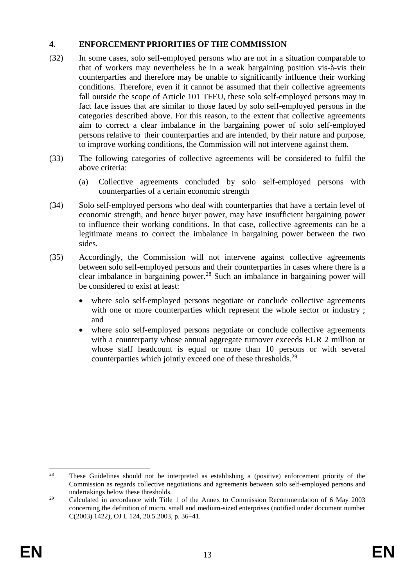### **4. ENFORCEMENT PRIORITIES OF THE COMMISSION**

- (32) In some cases, solo self-employed persons who are not in a situation comparable to that of workers may nevertheless be in a weak bargaining position vis-à-vis their counterparties and therefore may be unable to significantly influence their working conditions. Therefore, even if it cannot be assumed that their collective agreements fall outside the scope of Article 101 TFEU, these solo self-employed persons may in fact face issues that are similar to those faced by solo self-employed persons in the categories described above. For this reason, to the extent that collective agreements aim to correct a clear imbalance in the bargaining power of solo self-employed persons relative to their counterparties and are intended, by their nature and purpose, to improve working conditions, the Commission will not intervene against them.
- (33) The following categories of collective agreements will be considered to fulfil the above criteria:
	- (a) Collective agreements concluded by solo self-employed persons with counterparties of a certain economic strength
- (34) Solo self-employed persons who deal with counterparties that have a certain level of economic strength, and hence buyer power, may have insufficient bargaining power to influence their working conditions. In that case, collective agreements can be a legitimate means to correct the imbalance in bargaining power between the two sides.
- (35) Accordingly, the Commission will not intervene against collective agreements between solo self-employed persons and their counterparties in cases where there is a clear imbalance in bargaining power.<sup>28</sup> Such an imbalance in bargaining power will be considered to exist at least:
	- where solo self-employed persons negotiate or conclude collective agreements with one or more counterparties which represent the whole sector or industry; and
	- where solo self-employed persons negotiate or conclude collective agreements with a counterparty whose annual aggregate turnover exceeds EUR 2 million or whose staff headcount is equal or more than 10 persons or with several counterparties which jointly exceed one of these thresholds.<sup>29</sup>

<sup>1</sup> <sup>28</sup> These Guidelines should not be interpreted as establishing a (positive) enforcement priority of the Commission as regards collective negotiations and agreements between solo self-employed persons and undertakings below these thresholds.

<sup>&</sup>lt;sup>29</sup> Calculated in accordance with Title 1 of the Annex to Commission Recommendation of 6 May 2003 concerning the definition of micro, small and medium-sized enterprises (notified under document number C(2003) 1422), OJ L 124, 20.5.2003, p. 36–41.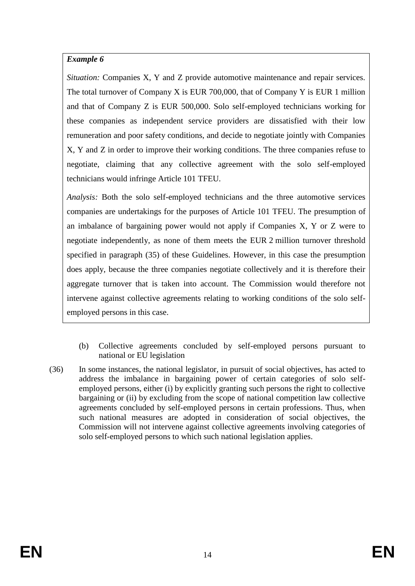*Situation:* Companies X, Y and Z provide automotive maintenance and repair services. The total turnover of Company X is EUR 700,000, that of Company Y is EUR 1 million and that of Company Z is EUR 500,000. Solo self-employed technicians working for these companies as independent service providers are dissatisfied with their low remuneration and poor safety conditions, and decide to negotiate jointly with Companies X, Y and Z in order to improve their working conditions. The three companies refuse to negotiate, claiming that any collective agreement with the solo self-employed technicians would infringe Article 101 TFEU.

*Analysis:* Both the solo self-employed technicians and the three automotive services companies are undertakings for the purposes of Article 101 TFEU. The presumption of an imbalance of bargaining power would not apply if Companies X, Y or Z were to negotiate independently, as none of them meets the EUR 2 million turnover threshold specified in paragraph (35) of these Guidelines. However, in this case the presumption does apply, because the three companies negotiate collectively and it is therefore their aggregate turnover that is taken into account. The Commission would therefore not intervene against collective agreements relating to working conditions of the solo selfemployed persons in this case.

- (b) Collective agreements concluded by self-employed persons pursuant to national or EU legislation
- (36) In some instances, the national legislator, in pursuit of social objectives, has acted to address the imbalance in bargaining power of certain categories of solo selfemployed persons, either (i) by explicitly granting such persons the right to collective bargaining or (ii) by excluding from the scope of national competition law collective agreements concluded by self-employed persons in certain professions. Thus, when such national measures are adopted in consideration of social objectives, the Commission will not intervene against collective agreements involving categories of solo self-employed persons to which such national legislation applies.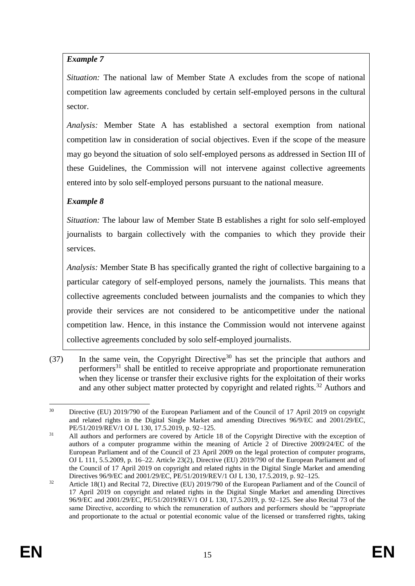*Situation:* The national law of Member State A excludes from the scope of national competition law agreements concluded by certain self-employed persons in the cultural sector.

*Analysis:* Member State A has established a sectoral exemption from national competition law in consideration of social objectives. Even if the scope of the measure may go beyond the situation of solo self-employed persons as addressed in Section III of these Guidelines, the Commission will not intervene against collective agreements entered into by solo self-employed persons pursuant to the national measure.

## *Example 8*

*Situation:* The labour law of Member State B establishes a right for solo self-employed journalists to bargain collectively with the companies to which they provide their services.

*Analysis:* Member State B has specifically granted the right of collective bargaining to a particular category of self-employed persons, namely the journalists. This means that collective agreements concluded between journalists and the companies to which they provide their services are not considered to be anticompetitive under the national competition law. Hence, in this instance the Commission would not intervene against collective agreements concluded by solo self-employed journalists.

(37) In the same vein, the Copyright Directive<sup>30</sup> has set the principle that authors and performers<sup>31</sup> shall be entitled to receive appropriate and proportionate remuneration when they license or transfer their exclusive rights for the exploitation of their works and any other subject matter protected by copyright and related rights.<sup>32</sup> Authors and

 $30<sup>2</sup>$ <sup>30</sup> Directive (EU) 2019/790 of the European Parliament and of the Council of 17 April 2019 on copyright and related rights in the Digital Single Market and amending Directives 96/9/EC and 2001/29/EC, PE/51/2019/REV/1 OJ L 130, 17.5.2019, p. 92–125.

<sup>&</sup>lt;sup>31</sup> All authors and performers are covered by Article 18 of the Copyright Directive with the exception of authors of a computer programme within the meaning of Article 2 of Directive 2009/24/EC of the European Parliament and of the Council of 23 April 2009 on the legal protection of computer programs, OJ L 111, 5.5.2009, p. 16–22. Article 23(2), Directive (EU) 2019/790 of the European Parliament and of the Council of 17 April 2019 on copyright and related rights in the Digital Single Market and amending Directives 96/9/EC and 2001/29/EC, PE/51/2019/REV/1 OJ L 130, 17.5.2019, p. 92–125.

<sup>&</sup>lt;sup>32</sup> Article 18(1) and Recital 72, Directive (EU) 2019/790 of the European Parliament and of the Council of 17 April 2019 on copyright and related rights in the Digital Single Market and amending Directives 96/9/EC and 2001/29/EC, PE/51/2019/REV/1 OJ L 130, 17.5.2019, p. 92–125. See also Recital 73 of the same Directive, according to which the remuneration of authors and performers should be "appropriate and proportionate to the actual or potential economic value of the licensed or transferred rights, taking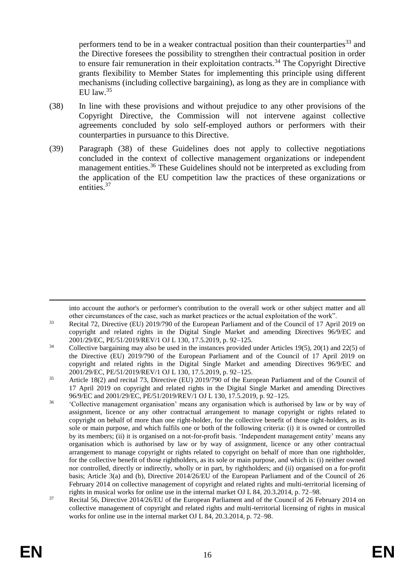performers tend to be in a weaker contractual position than their counterparties<sup>33</sup> and the Directive foresees the possibility to strengthen their contractual position in order to ensure fair remuneration in their exploitation contracts.<sup>34</sup> The Copyright Directive grants flexibility to Member States for implementing this principle using different mechanisms (including collective bargaining), as long as they are in compliance with EU law.  $35$ 

- (38) In line with these provisions and without prejudice to any other provisions of the Copyright Directive, the Commission will not intervene against collective agreements concluded by solo self-employed authors or performers with their counterparties in pursuance to this Directive.
- (39) Paragraph (38) of these Guidelines does not apply to collective negotiations concluded in the context of collective management organizations or independent management entities.<sup>36</sup> These Guidelines should not be interpreted as excluding from the application of the EU competition law the practices of these organizations or entities.<sup>37</sup>

1

into account the author's or performer's contribution to the overall work or other subject matter and all other circumstances of the case, such as market practices or the actual exploitation of the work".

<sup>&</sup>lt;sup>33</sup> Recital 72, Directive (EU) 2019/790 of the European Parliament and of the Council of 17 April 2019 on copyright and related rights in the Digital Single Market and amending Directives 96/9/EC and 2001/29/EC, PE/51/2019/REV/1 OJ L 130, 17.5.2019, p. 92–125.

 $34$  Collective bargaining may also be used in the instances provided under Articles 19(5), 20(1) and 22(5) of the Directive (EU) 2019/790 of the European Parliament and of the Council of 17 April 2019 on copyright and related rights in the Digital Single Market and amending Directives 96/9/EC and 2001/29/EC, PE/51/2019/REV/1 OJ L 130, 17.5.2019, p. 92–125.

<sup>&</sup>lt;sup>35</sup> Article 18(2) and recital 73, Directive (EU) 2019/790 of the European Parliament and of the Council of 17 April 2019 on copyright and related rights in the Digital Single Market and amending Directives 96/9/EC and 2001/29/EC, PE/51/2019/REV/1 OJ L 130, 17.5.2019, p. 92–125.

<sup>36</sup> 'Collective management organisation' means any organisation which is authorised by law or by way of assignment, licence or any other contractual arrangement to manage copyright or rights related to copyright on behalf of more than one right-holder, for the collective benefit of those right-holders, as its sole or main purpose, and which fulfils one or both of the following criteria: (i) it is owned or controlled by its members; (ii) it is organised on a not-for-profit basis. 'Independent management entity' means any organisation which is authorised by law or by way of assignment, licence or any other contractual arrangement to manage copyright or rights related to copyright on behalf of more than one rightholder, for the collective benefit of those rightholders, as its sole or main purpose, and which is: (i) neither owned nor controlled, directly or indirectly, wholly or in part, by rightholders; and (ii) organised on a for-profit basis; Article 3(a) and (b), Directive 2014/26/EU of the European Parliament and of the Council of 26 February 2014 on collective management of copyright and related rights and multi-territorial licensing of rights in musical works for online use in the internal market OJ L 84, 20.3.2014, p. 72–98.

 $\overline{37}$  Recital 56, Directive 2014/26/EU of the European Parliament and of the Council of 26 February 2014 on collective management of copyright and related rights and multi-territorial licensing of rights in musical works for online use in the internal market OJ L 84, 20.3.2014, p. 72–98.